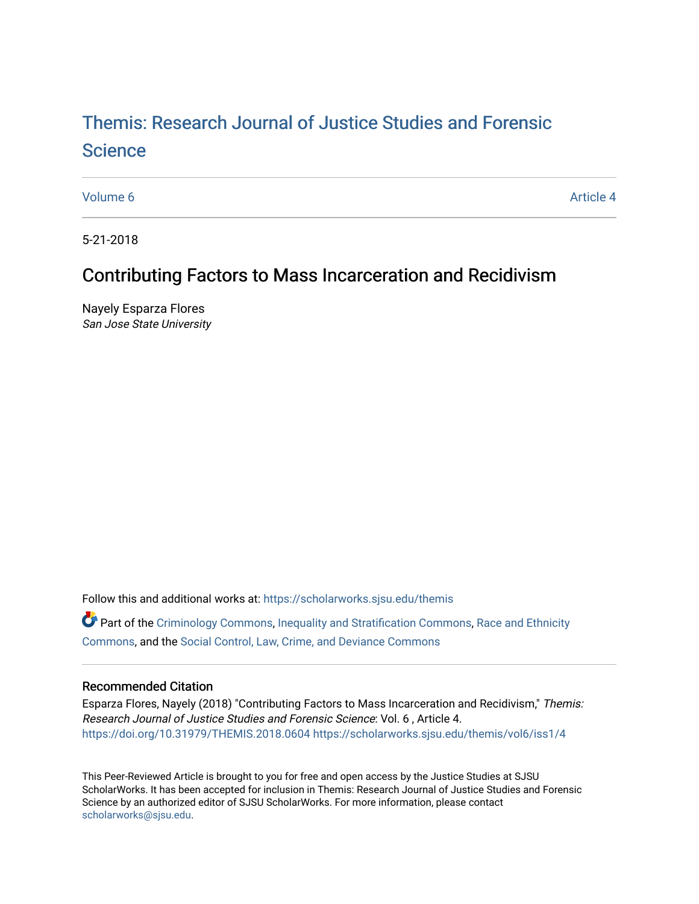# [Themis: Research Journal of Justice Studies and Forensic](https://scholarworks.sjsu.edu/themis)  **Science**

[Volume 6](https://scholarworks.sjsu.edu/themis/vol6) Article 4

5-21-2018

## Contributing Factors to Mass Incarceration and Recidivism

Nayely Esparza Flores San Jose State University

Follow this and additional works at: [https://scholarworks.sjsu.edu/themis](https://scholarworks.sjsu.edu/themis?utm_source=scholarworks.sjsu.edu%2Fthemis%2Fvol6%2Fiss1%2F4&utm_medium=PDF&utm_campaign=PDFCoverPages)

Part of the [Criminology Commons](http://network.bepress.com/hgg/discipline/417?utm_source=scholarworks.sjsu.edu%2Fthemis%2Fvol6%2Fiss1%2F4&utm_medium=PDF&utm_campaign=PDFCoverPages), [Inequality and Stratification Commons](http://network.bepress.com/hgg/discipline/421?utm_source=scholarworks.sjsu.edu%2Fthemis%2Fvol6%2Fiss1%2F4&utm_medium=PDF&utm_campaign=PDFCoverPages), [Race and Ethnicity](http://network.bepress.com/hgg/discipline/426?utm_source=scholarworks.sjsu.edu%2Fthemis%2Fvol6%2Fiss1%2F4&utm_medium=PDF&utm_campaign=PDFCoverPages) [Commons](http://network.bepress.com/hgg/discipline/426?utm_source=scholarworks.sjsu.edu%2Fthemis%2Fvol6%2Fiss1%2F4&utm_medium=PDF&utm_campaign=PDFCoverPages), and the [Social Control, Law, Crime, and Deviance Commons](http://network.bepress.com/hgg/discipline/429?utm_source=scholarworks.sjsu.edu%2Fthemis%2Fvol6%2Fiss1%2F4&utm_medium=PDF&utm_campaign=PDFCoverPages) 

### Recommended Citation

Esparza Flores, Nayely (2018) "Contributing Factors to Mass Incarceration and Recidivism," Themis: Research Journal of Justice Studies and Forensic Science: Vol. 6 , Article 4. <https://doi.org/10.31979/THEMIS.2018.0604> [https://scholarworks.sjsu.edu/themis/vol6/iss1/4](https://scholarworks.sjsu.edu/themis/vol6/iss1/4?utm_source=scholarworks.sjsu.edu%2Fthemis%2Fvol6%2Fiss1%2F4&utm_medium=PDF&utm_campaign=PDFCoverPages) 

This Peer-Reviewed Article is brought to you for free and open access by the Justice Studies at SJSU ScholarWorks. It has been accepted for inclusion in Themis: Research Journal of Justice Studies and Forensic Science by an authorized editor of SJSU ScholarWorks. For more information, please contact [scholarworks@sjsu.edu](mailto:scholarworks@sjsu.edu).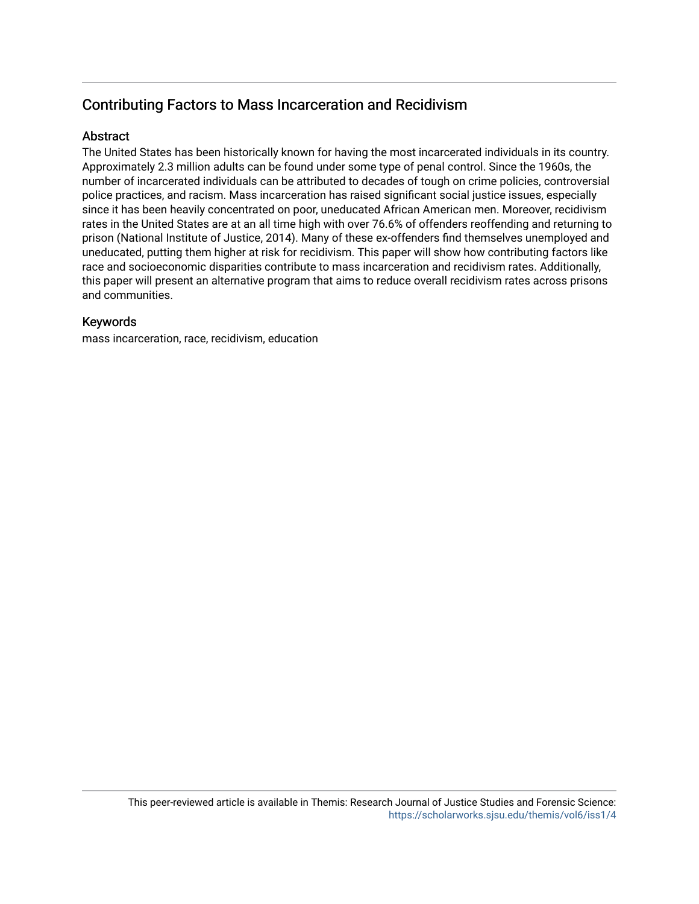## Contributing Factors to Mass Incarceration and Recidivism

## **Abstract**

The United States has been historically known for having the most incarcerated individuals in its country. Approximately 2.3 million adults can be found under some type of penal control. Since the 1960s, the number of incarcerated individuals can be attributed to decades of tough on crime policies, controversial police practices, and racism. Mass incarceration has raised significant social justice issues, especially since it has been heavily concentrated on poor, uneducated African American men. Moreover, recidivism rates in the United States are at an all time high with over 76.6% of offenders reoffending and returning to prison (National Institute of Justice, 2014). Many of these ex-offenders find themselves unemployed and uneducated, putting them higher at risk for recidivism. This paper will show how contributing factors like race and socioeconomic disparities contribute to mass incarceration and recidivism rates. Additionally, this paper will present an alternative program that aims to reduce overall recidivism rates across prisons and communities.

### Keywords

mass incarceration, race, recidivism, education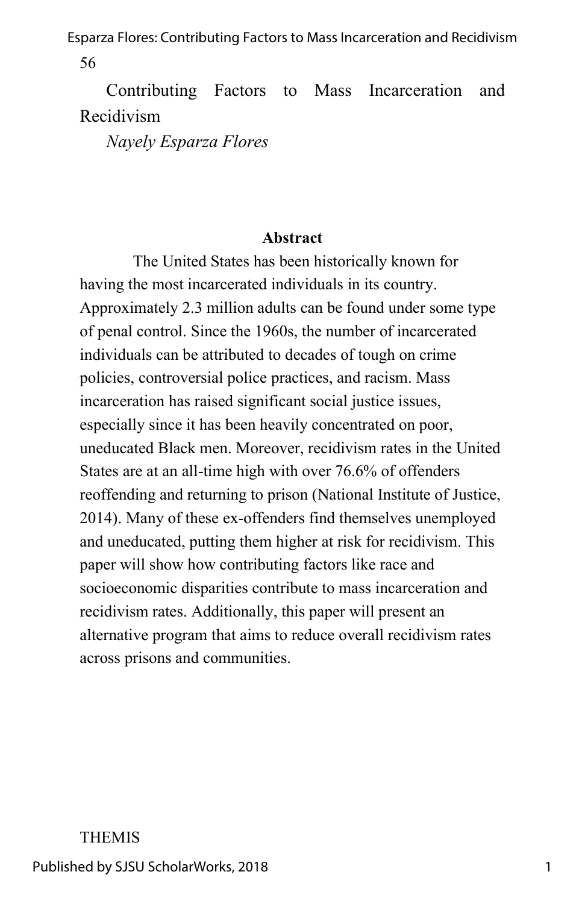Contributing Factors to Mass Incarceration and Recidivism

*Nayely Esparza Flores*

#### **Abstract**

The United States has been historically known for having the most incarcerated individuals in its country. Approximately 2.3 million adults can be found under some type of penal control. Since the 1960s, the number of incarcerated individuals can be attributed to decades of tough on crime policies, controversial police practices, and racism. Mass incarceration has raised significant social justice issues, especially since it has been heavily concentrated on poor, uneducated Black men. Moreover, recidivism rates in the United States are at an all-time high with over 76.6% of offenders reoffending and returning to prison (National Institute of Justice, 2014). Many of these ex-offenders find themselves unemployed and uneducated, putting them higher at risk for recidivism. This paper will show how contributing factors like race and socioeconomic disparities contribute to mass incarceration and recidivism rates. Additionally, this paper will present an alternative program that aims to reduce overall recidivism rates across prisons and communities.

#### THEMIS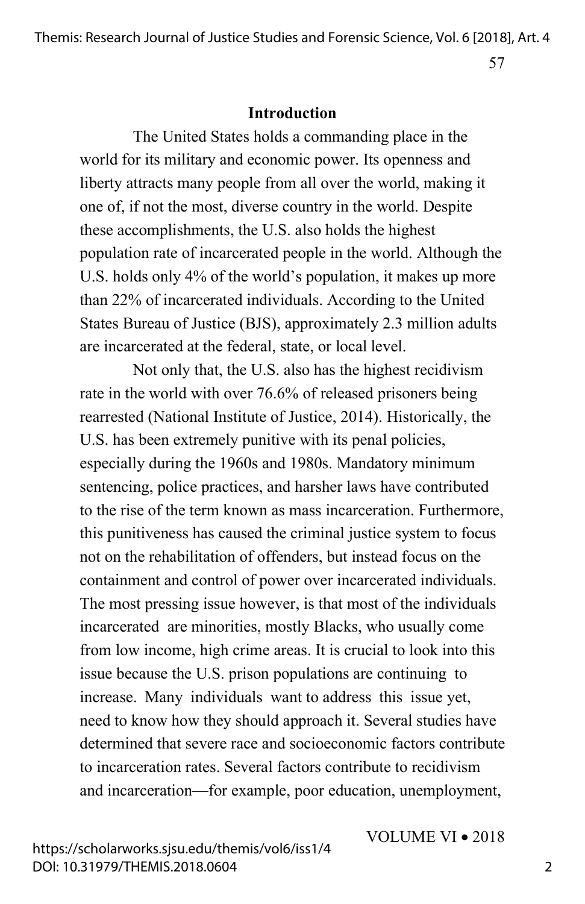57

#### **Introduction**

The United States holds a commanding place in the world for its military and economic power. Its openness and liberty attracts many people from all over the world, making it one of, if not the most, diverse country in the world. Despite these accomplishments, the U.S. also holds the highest population rate of incarcerated people in the world. Although the U.S. holds only 4% of the world's population, it makes up more than 22% of incarcerated individuals. According to the United States Bureau of Justice (BJS), approximately 2.3 million adults are incarcerated at the federal, state, or local level.

Not only that, the U.S. also has the highest recidivism rate in the world with over 76.6% of released prisoners being rearrested (National Institute of Justice, 2014). Historically, the U.S. has been extremely punitive with its penal policies, especially during the 1960s and 1980s. Mandatory minimum sentencing, police practices, and harsher laws have contributed to the rise of the term known as mass incarceration. Furthermore, this punitiveness has caused the criminal justice system to focus not on the rehabilitation of offenders, but instead focus on the containment and control of power over incarcerated individuals. The most pressing issue however, is that most of the individuals incarcerated are minorities, mostly Blacks, who usually come from low income, high crime areas. It is crucial to look into this issue because the U.S. prison populations are continuing to increase. Many individuals want to address this issue yet, need to know how they should approach it. Several studies have determined that severe race and socioeconomic factors contribute to incarceration rates. Several factors contribute to recidivism and incarceration—for example, poor education, unemployment,

VOLUME VI • 2018

https://scholarworks.sjsu.edu/themis/vol6/iss1/4 DOI: 10.31979/THEMIS.2018.0604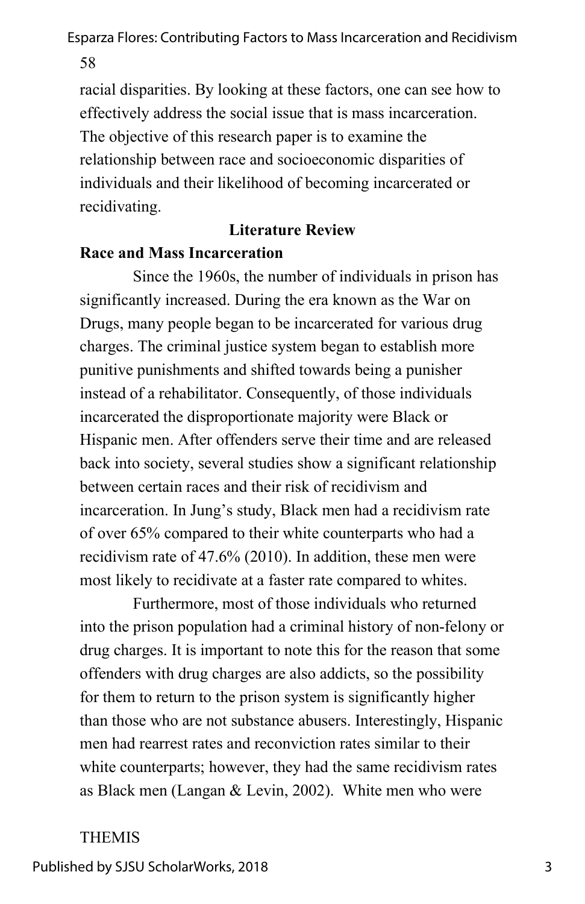58

racial disparities. By looking at these factors, one can see how to effectively address the social issue that is mass incarceration. The objective of this research paper is to examine the relationship between race and socioeconomic disparities of individuals and their likelihood of becoming incarcerated or recidivating.

## **Literature Review**

## **Race and Mass Incarceration**

Since the 1960s, the number of individuals in prison has significantly increased. During the era known as the War on Drugs, many people began to be incarcerated for various drug charges. The criminal justice system began to establish more punitive punishments and shifted towards being a punisher instead of a rehabilitator. Consequently, of those individuals incarcerated the disproportionate majority were Black or Hispanic men. After offenders serve their time and are released back into society, several studies show a significant relationship between certain races and their risk of recidivism and incarceration. In Jung's study, Black men had a recidivism rate of over 65% compared to their white counterparts who had a recidivism rate of 47.6% (2010). In addition, these men were most likely to recidivate at a faster rate compared to whites.

Furthermore, most of those individuals who returned into the prison population had a criminal history of non-felony or drug charges. It is important to note this for the reason that some offenders with drug charges are also addicts, so the possibility for them to return to the prison system is significantly higher than those who are not substance abusers. Interestingly, Hispanic men had rearrest rates and reconviction rates similar to their white counterparts; however, they had the same recidivism rates as Black men (Langan & Levin, 2002). White men who were

## THEMIS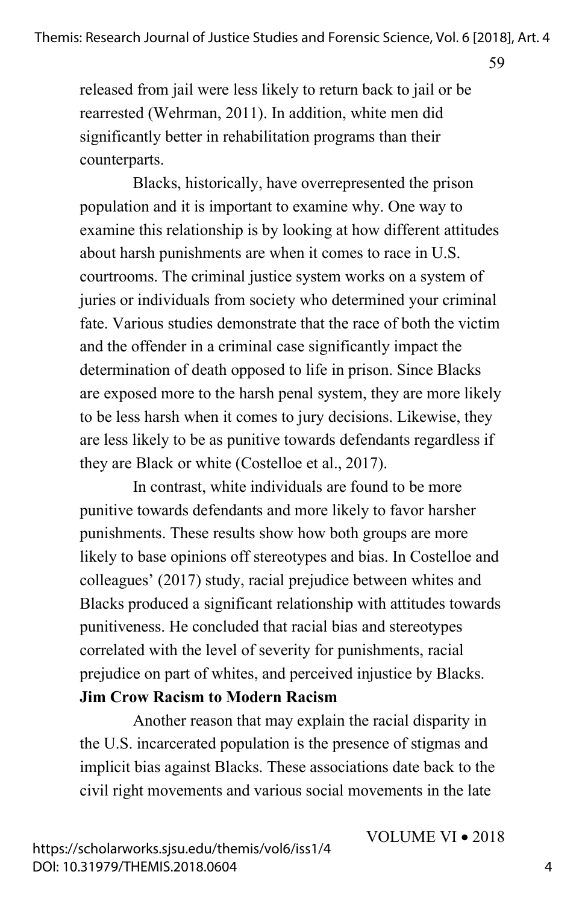59

released from jail were less likely to return back to jail or be rearrested (Wehrman, 2011). In addition, white men did significantly better in rehabilitation programs than their counterparts.

Blacks, historically, have overrepresented the prison population and it is important to examine why. One way to examine this relationship is by looking at how different attitudes about harsh punishments are when it comes to race in U.S. courtrooms. The criminal justice system works on a system of juries or individuals from society who determined your criminal fate. Various studies demonstrate that the race of both the victim and the offender in a criminal case significantly impact the determination of death opposed to life in prison. Since Blacks are exposed more to the harsh penal system, they are more likely to be less harsh when it comes to jury decisions. Likewise, they are less likely to be as punitive towards defendants regardless if they are Black or white (Costelloe et al., 2017).

In contrast, white individuals are found to be more punitive towards defendants and more likely to favor harsher punishments. These results show how both groups are more likely to base opinions off stereotypes and bias. In Costelloe and colleagues' (2017) study, racial prejudice between whites and Blacks produced a significant relationship with attitudes towards punitiveness. He concluded that racial bias and stereotypes correlated with the level of severity for punishments, racial prejudice on part of whites, and perceived injustice by Blacks. **Jim Crow Racism to Modern Racism**

Another reason that may explain the racial disparity in the U.S. incarcerated population is the presence of stigmas and implicit bias against Blacks. These associations date back to the civil right movements and various social movements in the late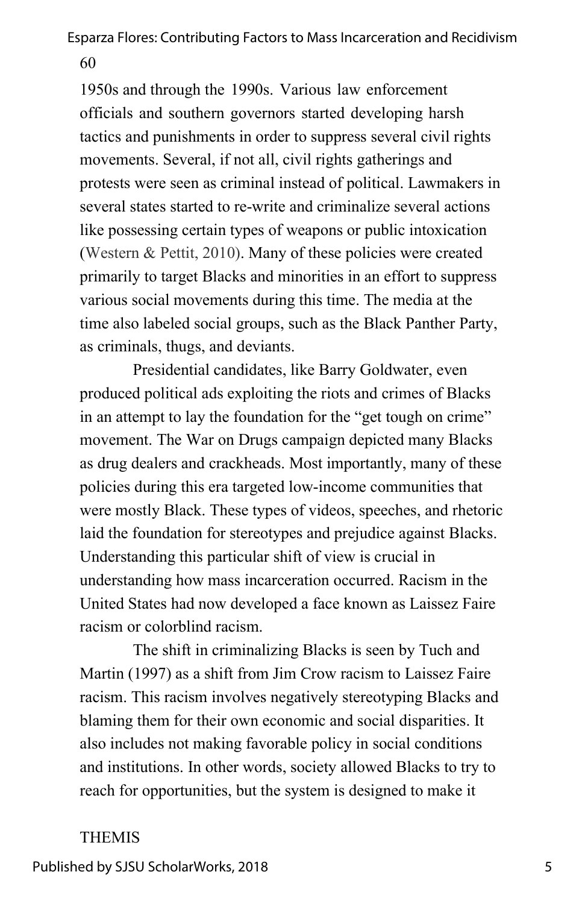1950s and through the 1990s. Various law enforcement officials and southern governors started developing harsh tactics and punishments in order to suppress several civil rights movements. Several, if not all, civil rights gatherings and protests were seen as criminal instead of political. Lawmakers in several states started to re-write and criminalize several actions like possessing certain types of weapons or public intoxication (Western & Pettit, 2010). Many of these policies were created primarily to target Blacks and minorities in an effort to suppress various social movements during this time. The media at the time also labeled social groups, such as the Black Panther Party, as criminals, thugs, and deviants.

Presidential candidates, like Barry Goldwater, even produced political ads exploiting the riots and crimes of Blacks in an attempt to lay the foundation for the "get tough on crime" movement. The War on Drugs campaign depicted many Blacks as drug dealers and crackheads. Most importantly, many of these policies during this era targeted low-income communities that were mostly Black. These types of videos, speeches, and rhetoric laid the foundation for stereotypes and prejudice against Blacks. Understanding this particular shift of view is crucial in understanding how mass incarceration occurred. Racism in the United States had now developed a face known as Laissez Faire racism or colorblind racism.

The shift in criminalizing Blacks is seen by Tuch and Martin (1997) as a shift from Jim Crow racism to Laissez Faire racism. This racism involves negatively stereotyping Blacks and blaming them for their own economic and social disparities. It also includes not making favorable policy in social conditions and institutions. In other words, society allowed Blacks to try to reach for opportunities, but the system is designed to make it

#### THEMIS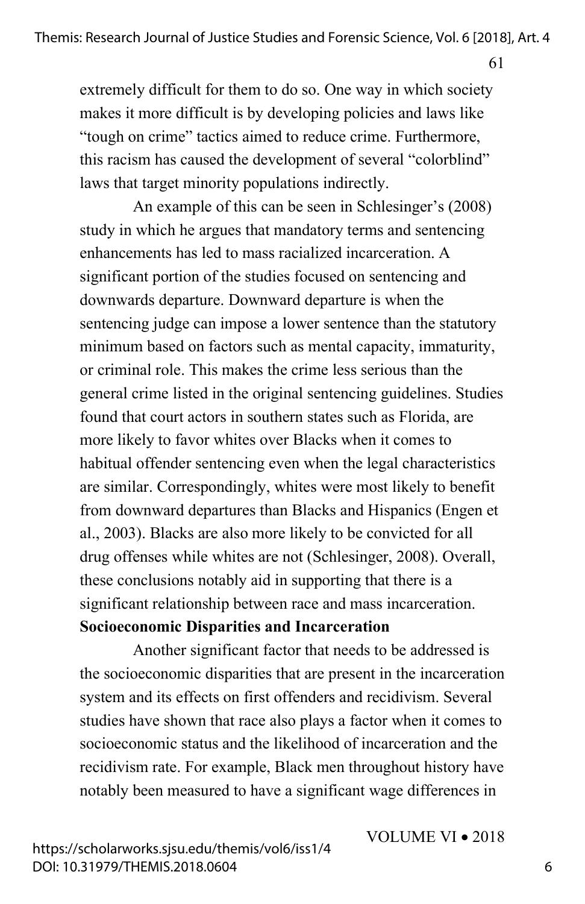61

extremely difficult for them to do so. One way in which society makes it more difficult is by developing policies and laws like "tough on crime" tactics aimed to reduce crime. Furthermore, this racism has caused the development of several "colorblind" laws that target minority populations indirectly.

An example of this can be seen in Schlesinger's (2008) study in which he argues that mandatory terms and sentencing enhancements has led to mass racialized incarceration. A significant portion of the studies focused on sentencing and downwards departure. Downward departure is when the sentencing judge can impose a lower sentence than the statutory minimum based on factors such as mental capacity, immaturity, or criminal role. This makes the crime less serious than the general crime listed in the original sentencing guidelines. Studies found that court actors in southern states such as Florida, are more likely to favor whites over Blacks when it comes to habitual offender sentencing even when the legal characteristics are similar. Correspondingly, whites were most likely to benefit from downward departures than Blacks and Hispanics (Engen et al., 2003). Blacks are also more likely to be convicted for all drug offenses while whites are not (Schlesinger, 2008). Overall, these conclusions notably aid in supporting that there is a significant relationship between race and mass incarceration.

#### **Socioeconomic Disparities and Incarceration**

Another significant factor that needs to be addressed is the socioeconomic disparities that are present in the incarceration system and its effects on first offenders and recidivism. Several studies have shown that race also plays a factor when it comes to socioeconomic status and the likelihood of incarceration and the recidivism rate. For example, Black men throughout history have notably been measured to have a significant wage differences in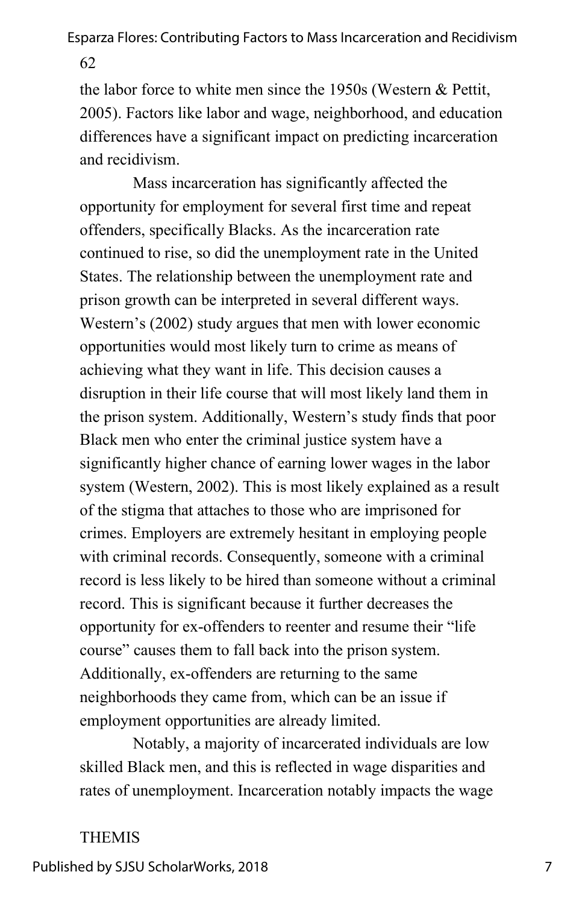62

the labor force to white men since the 1950s (Western & Pettit, 2005). Factors like labor and wage, neighborhood, and education differences have a significant impact on predicting incarceration and recidivism.

Mass incarceration has significantly affected the opportunity for employment for several first time and repeat offenders, specifically Blacks. As the incarceration rate continued to rise, so did the unemployment rate in the United States. The relationship between the unemployment rate and prison growth can be interpreted in several different ways. Western's (2002) study argues that men with lower economic opportunities would most likely turn to crime as means of achieving what they want in life. This decision causes a disruption in their life course that will most likely land them in the prison system. Additionally, Western's study finds that poor Black men who enter the criminal justice system have a significantly higher chance of earning lower wages in the labor system (Western, 2002). This is most likely explained as a result of the stigma that attaches to those who are imprisoned for crimes. Employers are extremely hesitant in employing people with criminal records. Consequently, someone with a criminal record is less likely to be hired than someone without a criminal record. This is significant because it further decreases the opportunity for ex-offenders to reenter and resume their "life course" causes them to fall back into the prison system. Additionally, ex-offenders are returning to the same neighborhoods they came from, which can be an issue if employment opportunities are already limited.

Notably, a majority of incarcerated individuals are low skilled Black men, and this is reflected in wage disparities and rates of unemployment. Incarceration notably impacts the wage

#### THEMIS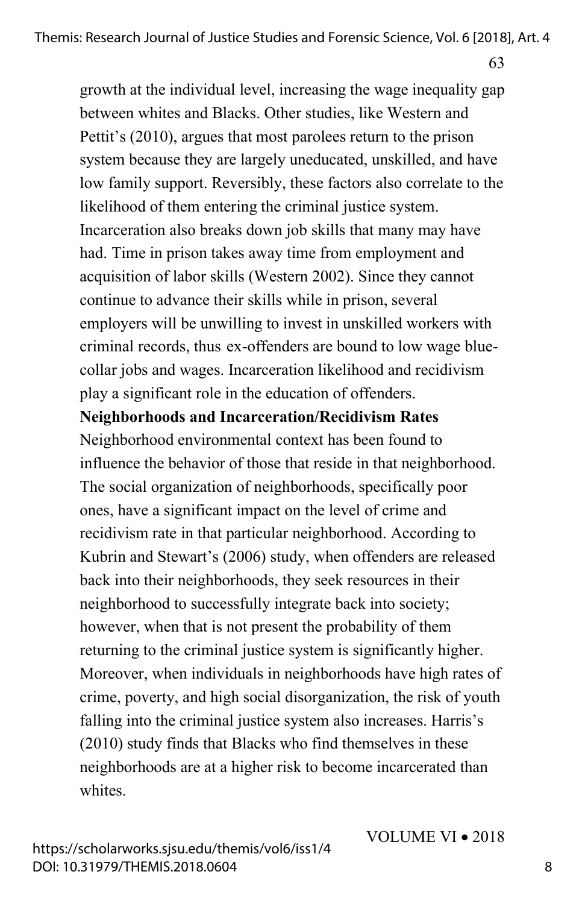growth at the individual level, increasing the wage inequality gap between whites and Blacks. Other studies, like Western and Pettit's (2010), argues that most parolees return to the prison system because they are largely uneducated, unskilled, and have low family support. Reversibly, these factors also correlate to the likelihood of them entering the criminal justice system. Incarceration also breaks down job skills that many may have had. Time in prison takes away time from employment and acquisition of labor skills (Western 2002). Since they cannot continue to advance their skills while in prison, several employers will be unwilling to invest in unskilled workers with criminal records, thus ex-offenders are bound to low wage bluecollar jobs and wages. Incarceration likelihood and recidivism play a significant role in the education of offenders.

**Neighborhoods and Incarceration/Recidivism Rates**

Neighborhood environmental context has been found to influence the behavior of those that reside in that neighborhood. The social organization of neighborhoods, specifically poor ones, have a significant impact on the level of crime and recidivism rate in that particular neighborhood. According to Kubrin and Stewart's (2006) study, when offenders are released back into their neighborhoods, they seek resources in their neighborhood to successfully integrate back into society; however, when that is not present the probability of them returning to the criminal justice system is significantly higher. Moreover, when individuals in neighborhoods have high rates of crime, poverty, and high social disorganization, the risk of youth falling into the criminal justice system also increases. Harris's (2010) study finds that Blacks who find themselves in these neighborhoods are at a higher risk to become incarcerated than whites

https://scholarworks.sjsu.edu/themis/vol6/iss1/4 DOI: 10.31979/THEMIS.2018.0604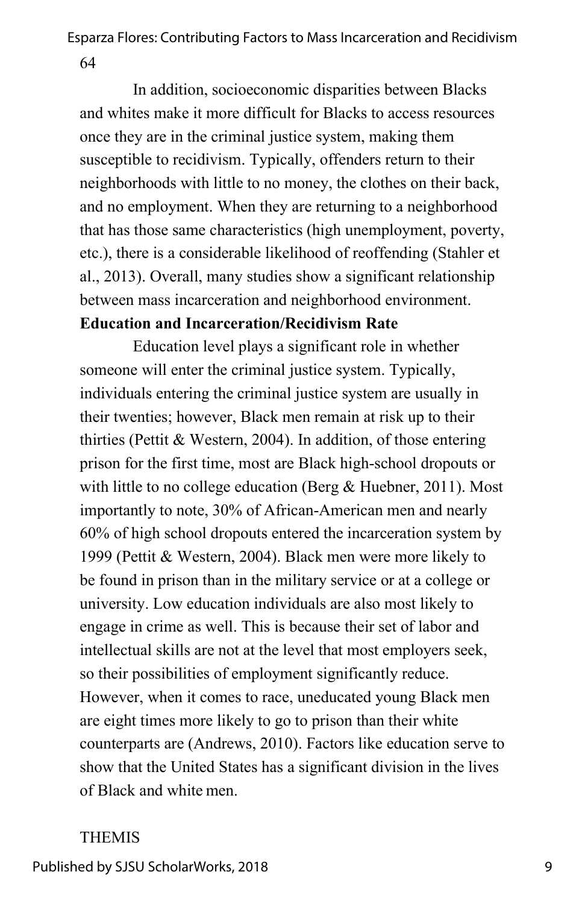64

In addition, socioeconomic disparities between Blacks and whites make it more difficult for Blacks to access resources once they are in the criminal justice system, making them susceptible to recidivism. Typically, offenders return to their neighborhoods with little to no money, the clothes on their back, and no employment. When they are returning to a neighborhood that has those same characteristics (high unemployment, poverty, etc.), there is a considerable likelihood of reoffending (Stahler et al., 2013). Overall, many studies show a significant relationship between mass incarceration and neighborhood environment. **Education and Incarceration/Recidivism Rate**

Education level plays a significant role in whether someone will enter the criminal justice system. Typically, individuals entering the criminal justice system are usually in their twenties; however, Black men remain at risk up to their thirties (Pettit & Western, 2004). In addition, of those entering prison for the first time, most are Black high-school dropouts or with little to no college education (Berg & Huebner, 2011). Most importantly to note, 30% of African-American men and nearly 60% of high school dropouts entered the incarceration system by 1999 (Pettit & Western, 2004). Black men were more likely to be found in prison than in the military service or at a college or university. Low education individuals are also most likely to engage in crime as well. This is because their set of labor and intellectual skills are not at the level that most employers seek, so their possibilities of employment significantly reduce. However, when it comes to race, uneducated young Black men are eight times more likely to go to prison than their white counterparts are (Andrews, 2010). Factors like education serve to show that the United States has a significant division in the lives of Black and white men.

## THEMIS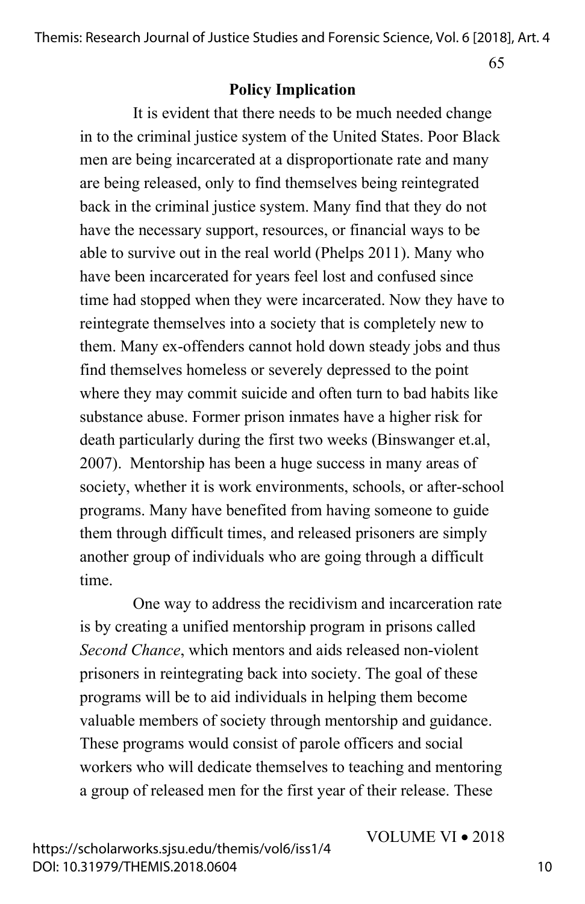65

#### **Policy Implication**

It is evident that there needs to be much needed change in to the criminal justice system of the United States. Poor Black men are being incarcerated at a disproportionate rate and many are being released, only to find themselves being reintegrated back in the criminal justice system. Many find that they do not have the necessary support, resources, or financial ways to be able to survive out in the real world (Phelps 2011). Many who have been incarcerated for years feel lost and confused since time had stopped when they were incarcerated. Now they have to reintegrate themselves into a society that is completely new to them. Many ex-offenders cannot hold down steady jobs and thus find themselves homeless or severely depressed to the point where they may commit suicide and often turn to bad habits like substance abuse. Former prison inmates have a higher risk for death particularly during the first two weeks (Binswanger et.al, 2007). Mentorship has been a huge success in many areas of society, whether it is work environments, schools, or after-school programs. Many have benefited from having someone to guide them through difficult times, and released prisoners are simply another group of individuals who are going through a difficult time.

One way to address the recidivism and incarceration rate is by creating a unified mentorship program in prisons called *Second Chance*, which mentors and aids released non-violent prisoners in reintegrating back into society. The goal of these programs will be to aid individuals in helping them become valuable members of society through mentorship and guidance. These programs would consist of parole officers and social workers who will dedicate themselves to teaching and mentoring a group of released men for the first year of their release. These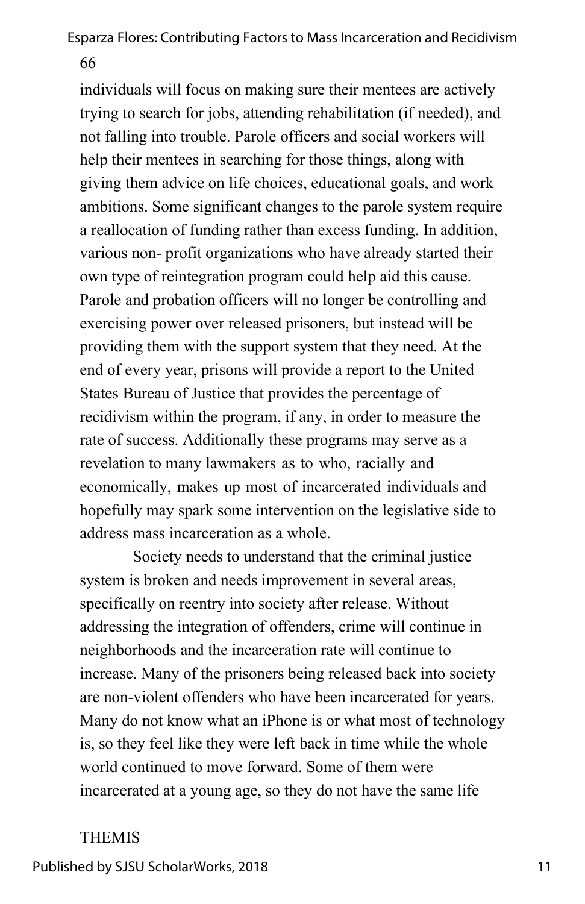66

individuals will focus on making sure their mentees are actively trying to search for jobs, attending rehabilitation (if needed), and not falling into trouble. Parole officers and social workers will help their mentees in searching for those things, along with giving them advice on life choices, educational goals, and work ambitions. Some significant changes to the parole system require a reallocation of funding rather than excess funding. In addition, various non- profit organizations who have already started their own type of reintegration program could help aid this cause. Parole and probation officers will no longer be controlling and exercising power over released prisoners, but instead will be providing them with the support system that they need. At the end of every year, prisons will provide a report to the United States Bureau of Justice that provides the percentage of recidivism within the program, if any, in order to measure the rate of success. Additionally these programs may serve as a revelation to many lawmakers as to who, racially and economically, makes up most of incarcerated individuals and hopefully may spark some intervention on the legislative side to address mass incarceration as a whole.

Society needs to understand that the criminal justice system is broken and needs improvement in several areas, specifically on reentry into society after release. Without addressing the integration of offenders, crime will continue in neighborhoods and the incarceration rate will continue to increase. Many of the prisoners being released back into society are non-violent offenders who have been incarcerated for years. Many do not know what an iPhone is or what most of technology is, so they feel like they were left back in time while the whole world continued to move forward. Some of them were incarcerated at a young age, so they do not have the same life

#### THEMIS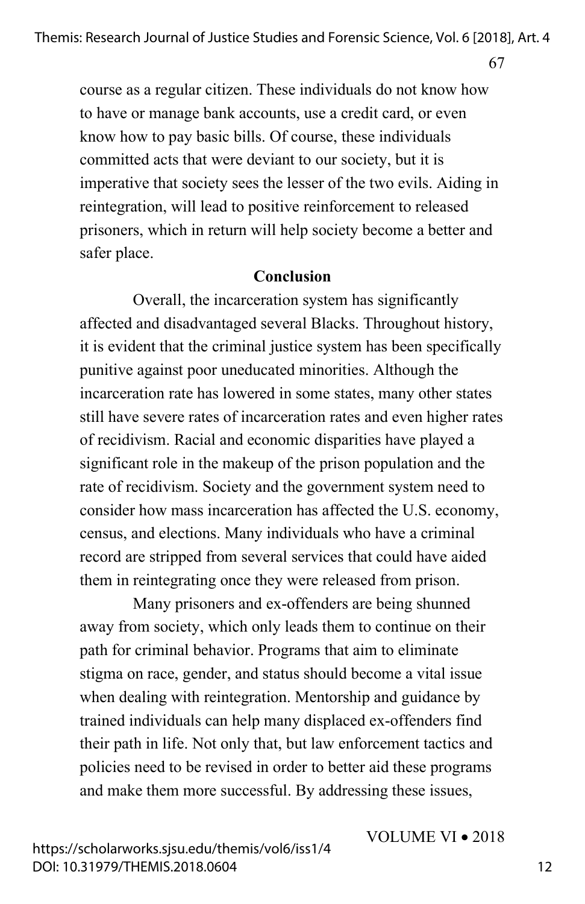67

course as a regular citizen. These individuals do not know how to have or manage bank accounts, use a credit card, or even know how to pay basic bills. Of course, these individuals committed acts that were deviant to our society, but it is imperative that society sees the lesser of the two evils. Aiding in reintegration, will lead to positive reinforcement to released prisoners, which in return will help society become a better and safer place.

#### **Conclusion**

Overall, the incarceration system has significantly affected and disadvantaged several Blacks. Throughout history, it is evident that the criminal justice system has been specifically punitive against poor uneducated minorities. Although the incarceration rate has lowered in some states, many other states still have severe rates of incarceration rates and even higher rates of recidivism. Racial and economic disparities have played a significant role in the makeup of the prison population and the rate of recidivism. Society and the government system need to consider how mass incarceration has affected the U.S. economy, census, and elections. Many individuals who have a criminal record are stripped from several services that could have aided them in reintegrating once they were released from prison.

Many prisoners and ex-offenders are being shunned away from society, which only leads them to continue on their path for criminal behavior. Programs that aim to eliminate stigma on race, gender, and status should become a vital issue when dealing with reintegration. Mentorship and guidance by trained individuals can help many displaced ex-offenders find their path in life. Not only that, but law enforcement tactics and policies need to be revised in order to better aid these programs and make them more successful. By addressing these issues,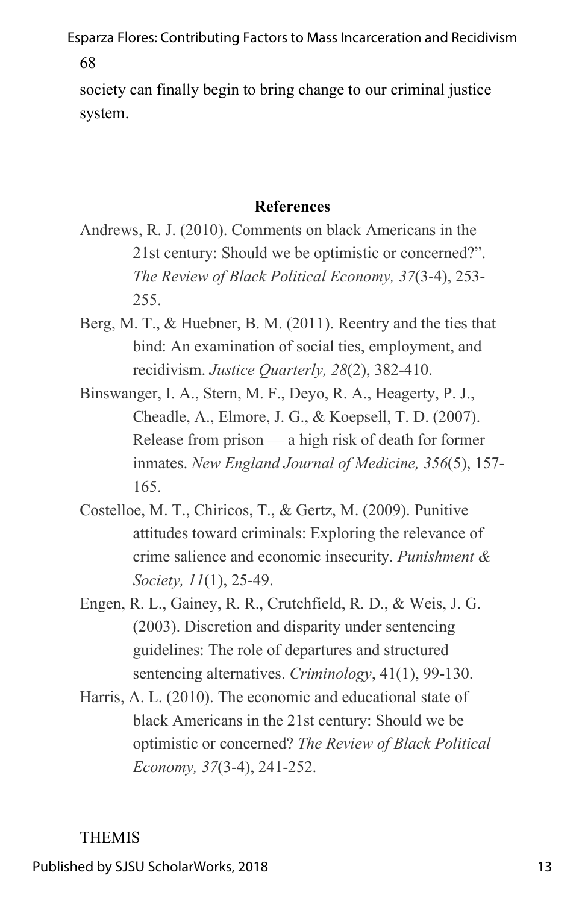68

society can finally begin to bring change to our criminal justice system.

## **References**

- Andrews, R. J. (2010). Comments on black Americans in the 21st century: Should we be optimistic or concerned?". *The Review of Black Political Economy, 37*(3-4), 253- 255.
- Berg, M. T., & Huebner, B. M. (2011). Reentry and the ties that bind: An examination of social ties, employment, and recidivism. *Justice Quarterly, 28*(2), 382-410.
- Binswanger, I. A., Stern, M. F., Deyo, R. A., Heagerty, P. J., Cheadle, A., Elmore, J. G., & Koepsell, T. D. (2007). Release from prison — a high risk of death for former inmates. *New England Journal of Medicine, 356*(5), 157- 165.
- Costelloe, M. T., Chiricos, T., & Gertz, M. (2009). Punitive attitudes toward criminals: Exploring the relevance of crime salience and economic insecurity. *Punishment & Society, 11*(1), 25-49.
- Engen, R. L., Gainey, R. R., Crutchfield, R. D., & Weis, J. G. (2003). Discretion and disparity under sentencing guidelines: The role of departures and structured sentencing alternatives. *Criminology*, 41(1), 99-130.
- Harris, A. L. (2010). The economic and educational state of black Americans in the 21st century: Should we be optimistic or concerned? *The Review of Black Political Economy, 37*(3-4), 241-252.

## THEMIS